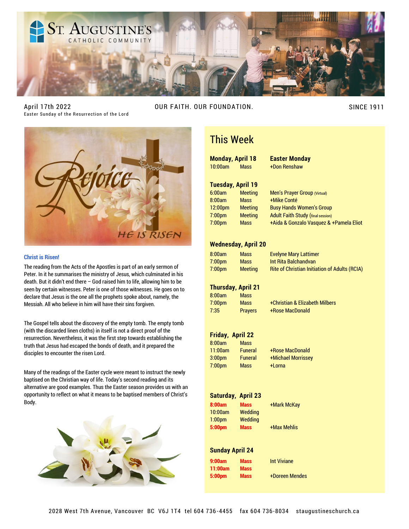

April 17th 2022 Easter Sunday of the Resurrection of the Lord

OUR FAITH. OUR FOUNDATION. SINCE 1911



#### **Christ is Risen!**

The reading from the Acts of the Apostles is part of an early sermon of Peter. In it he summarises the ministry of Jesus, which culminated in his death. But it didn't end there – God raised him to life, allowing him to be seen by certain witnesses. Peter is one of those witnesses. He goes on to declare that Jesus is the one all the prophets spoke about, namely, the Messiah. All who believe in him will have their sins forgiven.

The Gospel tells about the discovery of the empty tomb. The empty tomb (with the discarded linen cloths) in itself is not a direct proof of the resurrection. Nevertheless, it was the first step towards establishing the truth that Jesus had escaped the bonds of death, and it prepared the disciples to encounter the risen Lord.

Many of the readings of the Easter cycle were meant to instruct the newly baptised on the Christian way of life. Today's second reading and its alternative are good examples. Thus the Easter season provides us with an opportunity to reflect on what it means to be baptised members of Christ's Body.



## This Week

**Monday, April 18 Easter Monday** 10:00am Mass +Don Renshaw

#### **Tuesday, April 19**

8:00am Mass +Mike Conté

6:00am Meeting Men's Prayer Group (Virtual) 12:00pm Meeting Busy Hands Women's Group 7:00pm Meeting Adult Faith Study (final session)

7:00pm Mass +Aida & Gonzalo Vasquez & +Pamela Eliot

#### **Wednesday, April 20**

| 3:00am | Mass           |
|--------|----------------|
| 7:00pm | <b>Mass</b>    |
| 7:00pm | <b>Meeting</b> |

**Evelyne Mary Lattimer** Int Rita Balchandvan Rite of Christian Initiation of Adults (RCIA)

#### **Thursday, April 21**

| 8:00am             | <b>Mass</b>    |                     |
|--------------------|----------------|---------------------|
| 7:00 <sub>pm</sub> | <b>Mass</b>    | +Christian & Elizab |
| 7:35               | <b>Prayers</b> | +Rose MacDonald     |

7:00pm Mass +Christian & Elizabeth Milbers

#### **Friday, April 22**

| 8:00am             | Mass           |
|--------------------|----------------|
| 11:00am            | <b>Funeral</b> |
| 3:00 <sub>pm</sub> | <b>Funeral</b> |
| 7:00 <sub>pm</sub> | Mass           |

+Rose MacDonald +Michael Morrissey +Lorna

#### **Saturday, April 23**

**8:00am Mass** +Mark McKay 10:00am Wedding 1:00pm Wedding **5:00pm Mass** +Max Mehlis

#### **Sunday April 24**

| 9:00am  | <b>Mass</b> |
|---------|-------------|
| 11:00am | <b>Mass</b> |
| 5:00pm  | <b>Mass</b> |

**Int Viviane 5:00pm Mass** +Doreen Mendes